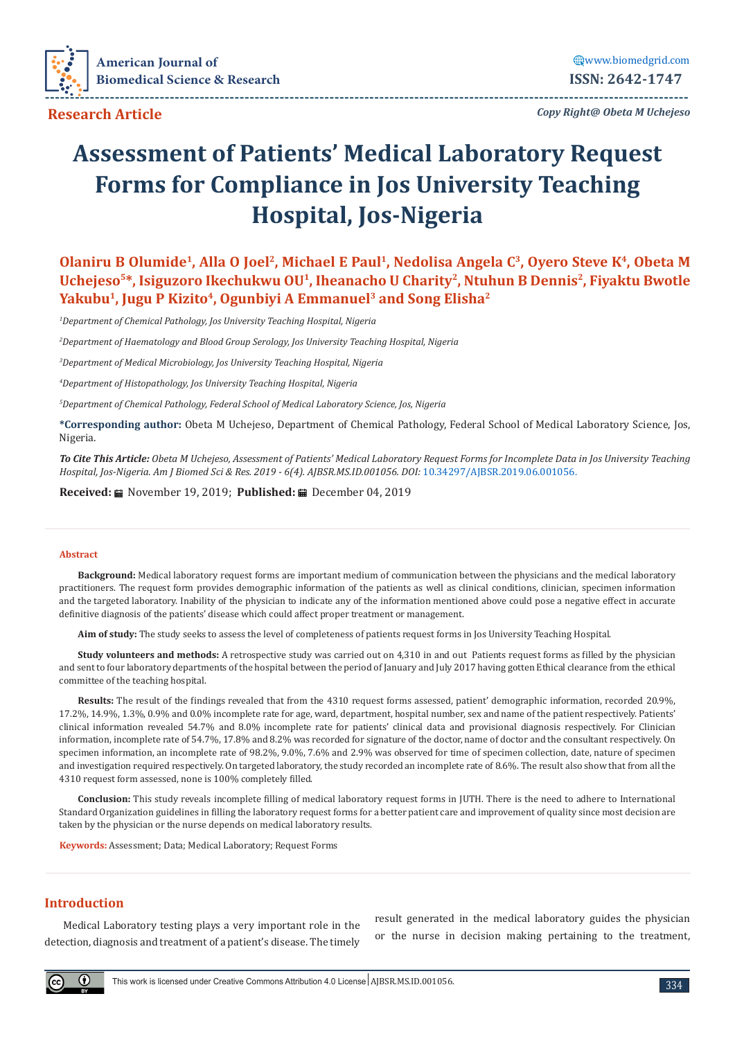

 **Research Article**

*Copy Right@ Obeta M Uchejeso* **---------------------------------------------------------------------------------------------------------------------------------**

# **Assessment of Patients' Medical Laboratory Request Forms for Compliance in Jos University Teaching Hospital, Jos-Nigeria**

**Olaniru B Olumide<sup>1</sup>, Alla O Joel<sup>2</sup>, Michael E Paul<sup>1</sup>, Nedolisa Angela C<sup>3</sup>, Oyero Steve K<sup>4</sup>, Obeta M** Uchejeso<sup>5\*</sup>, Isiguzoro Ikechukwu OU<sup>1</sup>, Iheanacho U Charity<sup>2</sup>, Ntuhun B Dennis<sup>2</sup>, Fiyaktu Bwotle Yakubu<sup>1</sup>, Jugu P Kizito<sup>4</sup>, Ogunbiyi A Emmanuel<sup>3</sup> and Song Elisha<sup>2</sup>

*1 Department of Chemical Pathology, Jos University Teaching Hospital, Nigeria*

*2 Department of Haematology and Blood Group Serology, Jos University Teaching Hospital, Nigeria*

*3 Department of Medical Microbiology, Jos University Teaching Hospital, Nigeria*

*4 Department of Histopathology, Jos University Teaching Hospital, Nigeria*

*5 Department of Chemical Pathology, Federal School of Medical Laboratory Science, Jos, Nigeria*

**\*Corresponding author:** Obeta M Uchejeso, Department of Chemical Pathology, Federal School of Medical Laboratory Science, Jos, Nigeria.

*To Cite This Article: Obeta M Uchejeso, Assessment of Patients' Medical Laboratory Request Forms for Incomplete Data in Jos University Teaching Hospital, Jos-Nigeria. Am J Biomed Sci & Res. 2019 - 6(4). AJBSR.MS.ID.001056. DOI:* [10.34297/AJBSR.2019.06.001056.](http://dx.doi.org/10.34297/AJBSR.2019.06.001056)

**Received:** November 19, 2019; **Published:** December 04, 2019

#### **Abstract**

**Background:** Medical laboratory request forms are important medium of communication between the physicians and the medical laboratory practitioners. The request form provides demographic information of the patients as well as clinical conditions, clinician, specimen information and the targeted laboratory. Inability of the physician to indicate any of the information mentioned above could pose a negative effect in accurate definitive diagnosis of the patients' disease which could affect proper treatment or management.

**Aim of study:** The study seeks to assess the level of completeness of patients request forms in Jos University Teaching Hospital.

**Study volunteers and methods:** A retrospective study was carried out on 4,310 in and out Patients request forms as filled by the physician and sent to four laboratory departments of the hospital between the period of January and July 2017 having gotten Ethical clearance from the ethical committee of the teaching hospital.

**Results:** The result of the findings revealed that from the 4310 request forms assessed, patient' demographic information, recorded 20.9%, 17.2%, 14.9%, 1.3%, 0.9% and 0.0% incomplete rate for age, ward, department, hospital number, sex and name of the patient respectively. Patients' clinical information revealed 54.7% and 8.0% incomplete rate for patients' clinical data and provisional diagnosis respectively. For Clinician information, incomplete rate of 54.7%, 17.8% and 8.2% was recorded for signature of the doctor, name of doctor and the consultant respectively. On specimen information, an incomplete rate of 98.2%, 9.0%, 7.6% and 2.9% was observed for time of specimen collection, date, nature of specimen and investigation required respectively. On targeted laboratory, the study recorded an incomplete rate of 8.6%. The result also show that from all the 4310 request form assessed, none is 100% completely filled.

**Conclusion:** This study reveals incomplete filling of medical laboratory request forms in JUTH. There is the need to adhere to International Standard Organization guidelines in filling the laboratory request forms for a better patient care and improvement of quality since most decision are taken by the physician or the nurse depends on medical laboratory results.

**Keywords:** Assessment; Data; Medical Laboratory; Request Forms

# **Introduction**

 $\bigcirc$ 

Medical Laboratory testing plays a very important role in the detection, diagnosis and treatment of a patient's disease. The timely result generated in the medical laboratory guides the physician or the nurse in decision making pertaining to the treatment,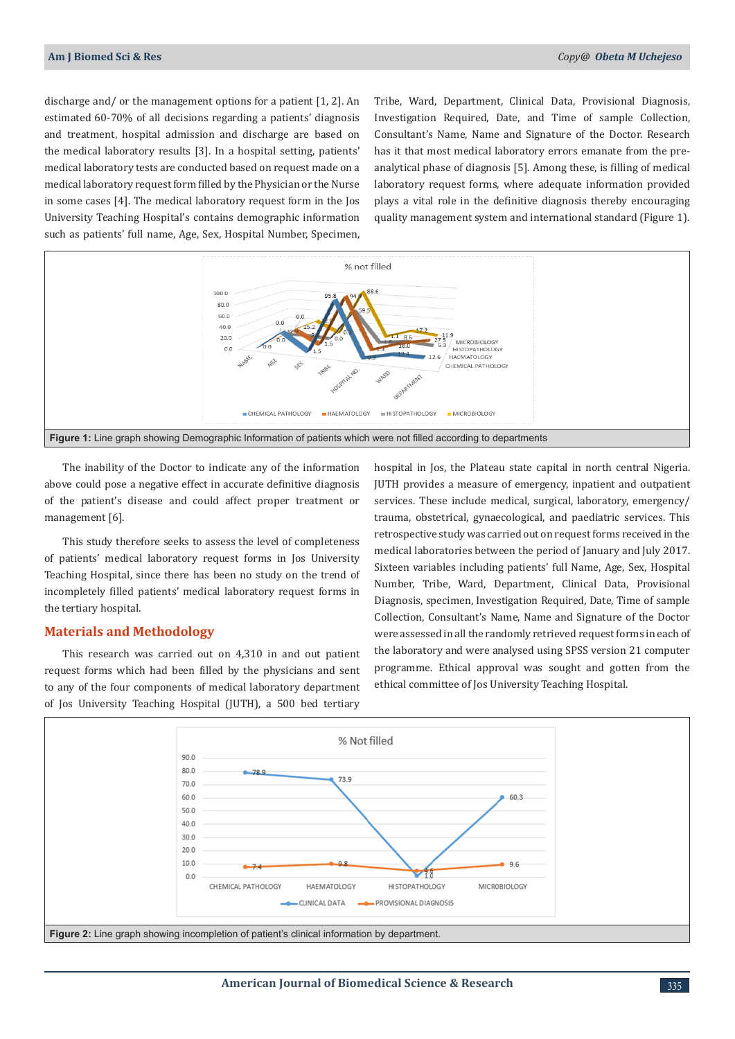discharge and/ or the management options for a patient [1, 2]. An estimated 60-70% of all decisions regarding a patients' diagnosis and treatment, hospital admission and discharge are based on the medical laboratory results [3]. In a hospital setting, patients' medical laboratory tests are conducted based on request made on a medical laboratory request form filled by the Physician or the Nurse in some cases [4]. The medical laboratory request form in the Jos University Teaching Hospital's contains demographic information such as patients' full name, Age, Sex, Hospital Number, Specimen,

Tribe, Ward, Department, Clinical Data, Provisional Diagnosis, Investigation Required, Date, and Time of sample Collection, Consultant's Name, Name and Signature of the Doctor. Research has it that most medical laboratory errors emanate from the preanalytical phase of diagnosis [5]. Among these, is filling of medical laboratory request forms, where adequate information provided plays a vital role in the definitive diagnosis thereby encouraging quality management system and international standard (Figure 1).



The inability of the Doctor to indicate any of the information above could pose a negative effect in accurate definitive diagnosis of the patient's disease and could affect proper treatment or management [6].

This study therefore seeks to assess the level of completeness of patients' medical laboratory request forms in Jos University Teaching Hospital, since there has been no study on the trend of incompletely filled patients' medical laboratory request forms in the tertiary hospital.

## **Materials and Methodology**

This research was carried out on 4,310 in and out patient request forms which had been filled by the physicians and sent to any of the four components of medical laboratory department of Jos University Teaching Hospital (JUTH), a 500 bed tertiary hospital in Jos, the Plateau state capital in north central Nigeria. JUTH provides a measure of emergency, inpatient and outpatient services. These include medical, surgical, laboratory, emergency/ trauma, obstetrical, gynaecological, and paediatric services. This retrospective study was carried out on request forms received in the medical laboratories between the period of January and July 2017. Sixteen variables including patients' full Name, Age, Sex, Hospital Number, Tribe, Ward, Department, Clinical Data, Provisional Diagnosis, specimen, Investigation Required, Date, Time of sample Collection, Consultant's Name, Name and Signature of the Doctor were assessed in all the randomly retrieved request forms in each of the laboratory and were analysed using SPSS version 21 computer programme. Ethical approval was sought and gotten from the ethical committee of Jos University Teaching Hospital.

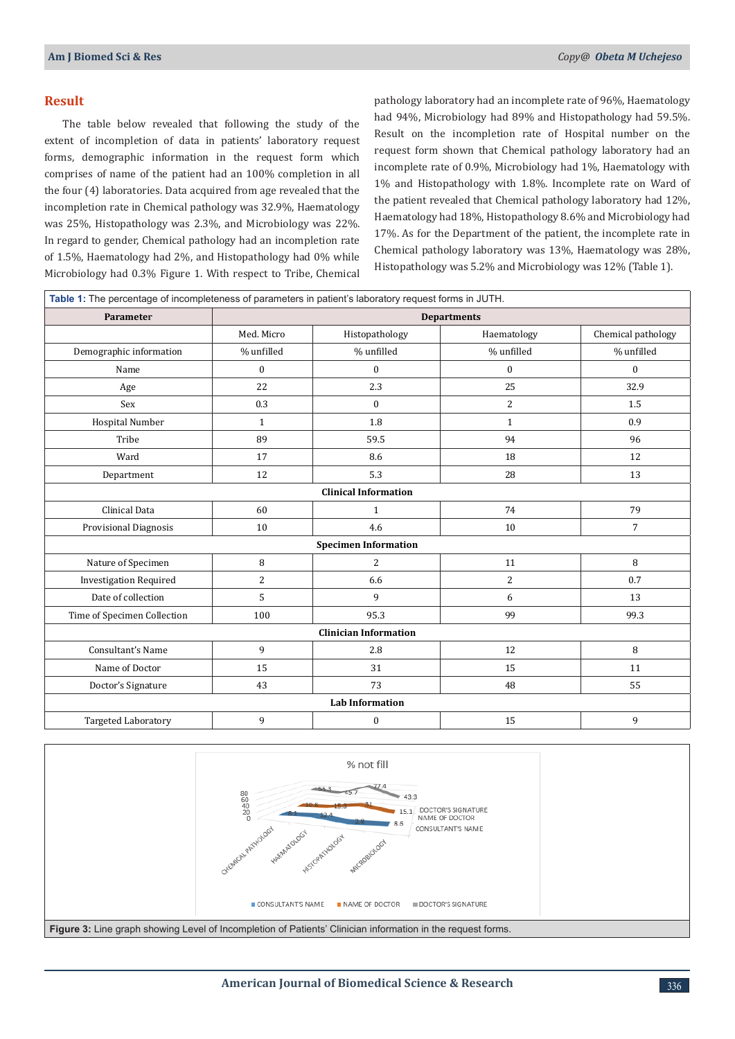# **Result**

The table below revealed that following the study of the extent of incompletion of data in patients' laboratory request forms, demographic information in the request form which comprises of name of the patient had an 100% completion in all the four (4) laboratories. Data acquired from age revealed that the incompletion rate in Chemical pathology was 32.9%, Haematology was 25%, Histopathology was 2.3%, and Microbiology was 22%. In regard to gender, Chemical pathology had an incompletion rate of 1.5%, Haematology had 2%, and Histopathology had 0% while Microbiology had 0.3% Figure 1. With respect to Tribe, Chemical pathology laboratory had an incomplete rate of 96%, Haematology had 94%, Microbiology had 89% and Histopathology had 59.5%. Result on the incompletion rate of Hospital number on the request form shown that Chemical pathology laboratory had an incomplete rate of 0.9%, Microbiology had 1%, Haematology with 1% and Histopathology with 1.8%. Incomplete rate on Ward of the patient revealed that Chemical pathology laboratory had 12%, Haematology had 18%, Histopathology 8.6% and Microbiology had 17%. As for the Department of the patient, the incomplete rate in Chemical pathology laboratory was 13%, Haematology was 28%, Histopathology was 5.2% and Microbiology was 12% (Table 1).

| Table 1: The percentage of incompleteness of parameters in patient's laboratory request forms in JUTH. |                    |                  |              |                    |
|--------------------------------------------------------------------------------------------------------|--------------------|------------------|--------------|--------------------|
| Parameter                                                                                              | <b>Departments</b> |                  |              |                    |
|                                                                                                        | Med. Micro         | Histopathology   | Haematology  | Chemical pathology |
| Demographic information                                                                                | % unfilled         | % unfilled       | % unfilled   | % unfilled         |
| Name                                                                                                   | $\mathbf{0}$       | $\mathbf{0}$     | $\mathbf{0}$ | $\mathbf{0}$       |
| Age                                                                                                    | 22                 | 2.3              | 25           | 32.9               |
| Sex                                                                                                    | 0.3                | $\mathbf{0}$     | 2            | 1.5                |
| Hospital Number                                                                                        | $\mathbf{1}$       | 1.8              | $\mathbf{1}$ | 0.9                |
| Tribe                                                                                                  | 89                 | 59.5             | 94           | 96                 |
| Ward                                                                                                   | 17                 | 8.6              | 18           | 12                 |
| Department                                                                                             | 12                 | 5.3              | 28           | 13                 |
| <b>Clinical Information</b>                                                                            |                    |                  |              |                    |
| Clinical Data                                                                                          | 60                 | $\mathbf{1}$     | 74           | 79                 |
| Provisional Diagnosis                                                                                  | 10                 | 4.6              | 10           | $\overline{7}$     |
| <b>Specimen Information</b>                                                                            |                    |                  |              |                    |
| Nature of Specimen                                                                                     | 8                  | 2                | 11           | 8                  |
| <b>Investigation Required</b>                                                                          | $\overline{2}$     | 6.6              | 2            | 0.7                |
| Date of collection                                                                                     | 5                  | 9                | 6            | 13                 |
| Time of Specimen Collection                                                                            | 100                | 95.3             | 99           | 99.3               |
| <b>Clinician Information</b>                                                                           |                    |                  |              |                    |
| Consultant's Name                                                                                      | 9                  | 2.8              | 12           | 8                  |
| Name of Doctor                                                                                         | 15                 | 31               | 15           | 11                 |
| Doctor's Signature                                                                                     | 43                 | 73               | 48           | 55                 |
| <b>Lab Information</b>                                                                                 |                    |                  |              |                    |
| Targeted Laboratory                                                                                    | 9                  | $\boldsymbol{0}$ | 15           | 9                  |

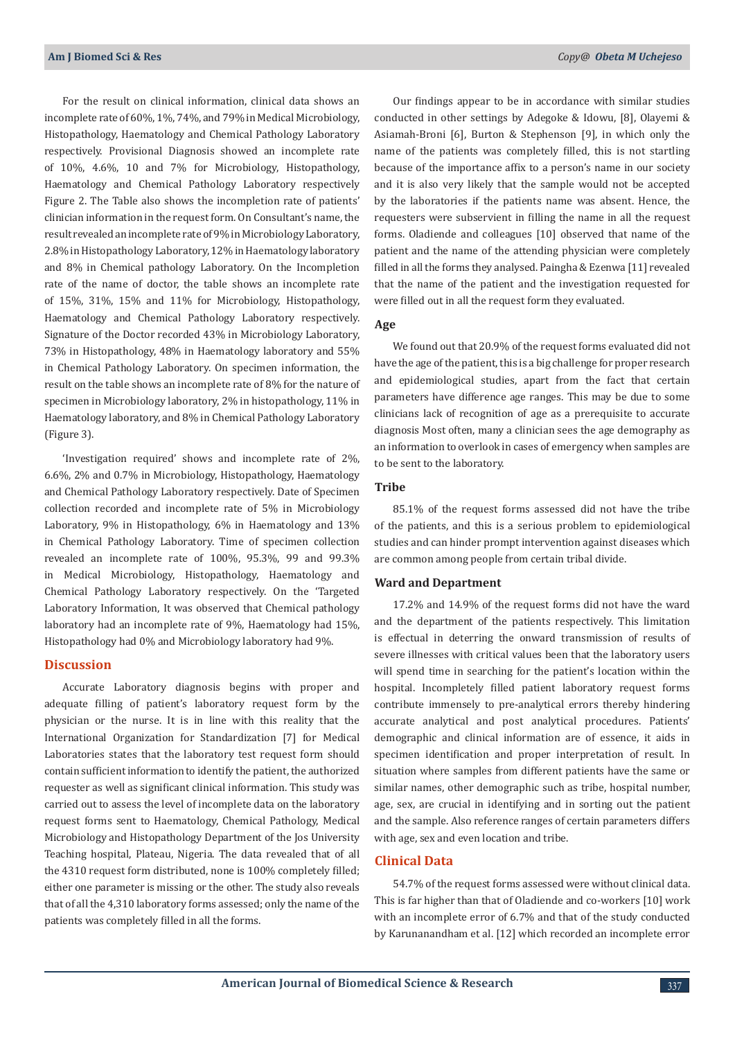For the result on clinical information, clinical data shows an incomplete rate of 60%, 1%, 74%, and 79% in Medical Microbiology, Histopathology, Haematology and Chemical Pathology Laboratory respectively. Provisional Diagnosis showed an incomplete rate of 10%, 4.6%, 10 and 7% for Microbiology, Histopathology, Haematology and Chemical Pathology Laboratory respectively Figure 2. The Table also shows the incompletion rate of patients' clinician information in the request form. On Consultant's name, the result revealed an incomplete rate of 9% in Microbiology Laboratory, 2.8% in Histopathology Laboratory, 12% in Haematology laboratory and 8% in Chemical pathology Laboratory. On the Incompletion rate of the name of doctor, the table shows an incomplete rate of 15%, 31%, 15% and 11% for Microbiology, Histopathology, Haematology and Chemical Pathology Laboratory respectively. Signature of the Doctor recorded 43% in Microbiology Laboratory, 73% in Histopathology, 48% in Haematology laboratory and 55% in Chemical Pathology Laboratory. On specimen information, the result on the table shows an incomplete rate of 8% for the nature of specimen in Microbiology laboratory, 2% in histopathology, 11% in Haematology laboratory, and 8% in Chemical Pathology Laboratory (Figure 3).

'Investigation required' shows and incomplete rate of 2%, 6.6%, 2% and 0.7% in Microbiology, Histopathology, Haematology and Chemical Pathology Laboratory respectively. Date of Specimen collection recorded and incomplete rate of 5% in Microbiology Laboratory, 9% in Histopathology, 6% in Haematology and 13% in Chemical Pathology Laboratory. Time of specimen collection revealed an incomplete rate of 100%, 95.3%, 99 and 99.3% in Medical Microbiology, Histopathology, Haematology and Chemical Pathology Laboratory respectively. On the 'Targeted Laboratory Information, It was observed that Chemical pathology laboratory had an incomplete rate of 9%, Haematology had 15%, Histopathology had 0% and Microbiology laboratory had 9%.

## **Discussion**

Accurate Laboratory diagnosis begins with proper and adequate filling of patient's laboratory request form by the physician or the nurse. It is in line with this reality that the International Organization for Standardization [7] for Medical Laboratories states that the laboratory test request form should contain sufficient information to identify the patient, the authorized requester as well as significant clinical information. This study was carried out to assess the level of incomplete data on the laboratory request forms sent to Haematology, Chemical Pathology, Medical Microbiology and Histopathology Department of the Jos University Teaching hospital, Plateau, Nigeria. The data revealed that of all the 4310 request form distributed, none is 100% completely filled; either one parameter is missing or the other. The study also reveals that of all the 4,310 laboratory forms assessed; only the name of the patients was completely filled in all the forms.

Our findings appear to be in accordance with similar studies conducted in other settings by Adegoke & Idowu, [8], Olayemi & Asiamah-Broni [6], Burton & Stephenson [9], in which only the name of the patients was completely filled, this is not startling because of the importance affix to a person's name in our society and it is also very likely that the sample would not be accepted by the laboratories if the patients name was absent. Hence, the requesters were subservient in filling the name in all the request forms. Oladiende and colleagues [10] observed that name of the patient and the name of the attending physician were completely filled in all the forms they analysed. Paingha & Ezenwa [11] revealed that the name of the patient and the investigation requested for were filled out in all the request form they evaluated.

### **Age**

We found out that 20.9% of the request forms evaluated did not have the age of the patient, this is a big challenge for proper research and epidemiological studies, apart from the fact that certain parameters have difference age ranges. This may be due to some clinicians lack of recognition of age as a prerequisite to accurate diagnosis Most often, many a clinician sees the age demography as an information to overlook in cases of emergency when samples are to be sent to the laboratory.

#### **Tribe**

85.1% of the request forms assessed did not have the tribe of the patients, and this is a serious problem to epidemiological studies and can hinder prompt intervention against diseases which are common among people from certain tribal divide.

## **Ward and Department**

17.2% and 14.9% of the request forms did not have the ward and the department of the patients respectively. This limitation is effectual in deterring the onward transmission of results of severe illnesses with critical values been that the laboratory users will spend time in searching for the patient's location within the hospital. Incompletely filled patient laboratory request forms contribute immensely to pre-analytical errors thereby hindering accurate analytical and post analytical procedures. Patients' demographic and clinical information are of essence, it aids in specimen identification and proper interpretation of result. In situation where samples from different patients have the same or similar names, other demographic such as tribe, hospital number, age, sex, are crucial in identifying and in sorting out the patient and the sample. Also reference ranges of certain parameters differs with age, sex and even location and tribe.

## **Clinical Data**

54.7% of the request forms assessed were without clinical data. This is far higher than that of Oladiende and co-workers [10] work with an incomplete error of 6.7% and that of the study conducted by Karunanandham et al. [12] which recorded an incomplete error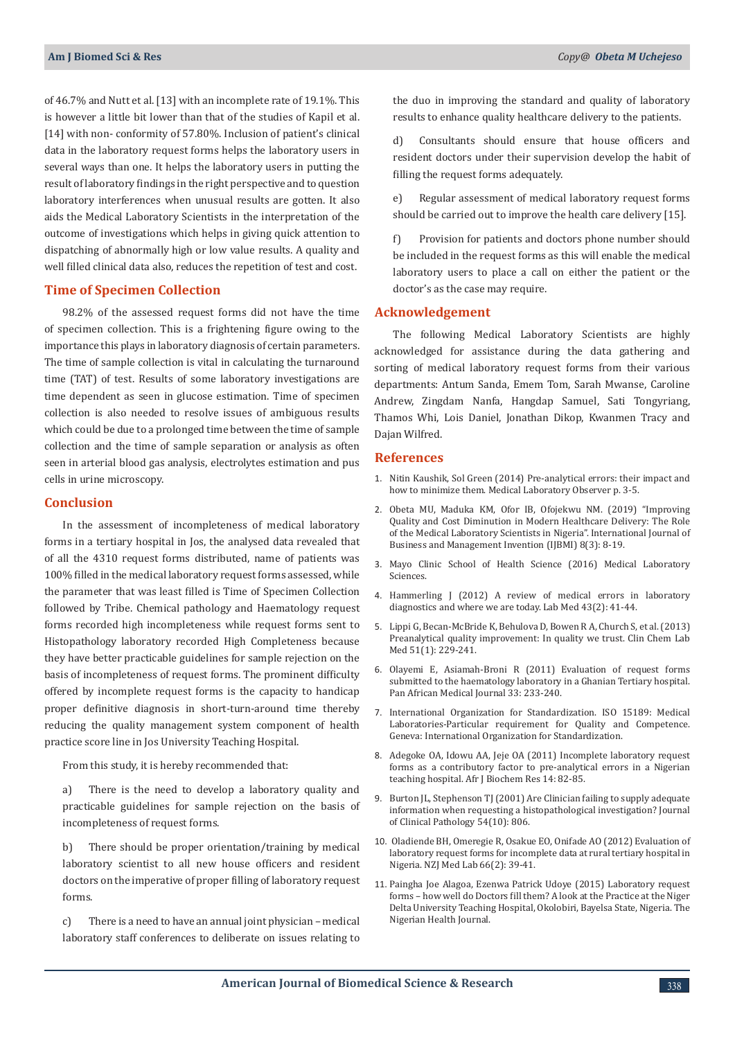of 46.7% and Nutt et al. [13] with an incomplete rate of 19.1%. This is however a little bit lower than that of the studies of Kapil et al. [14] with non- conformity of 57.80%. Inclusion of patient's clinical data in the laboratory request forms helps the laboratory users in several ways than one. It helps the laboratory users in putting the result of laboratory findings in the right perspective and to question laboratory interferences when unusual results are gotten. It also aids the Medical Laboratory Scientists in the interpretation of the outcome of investigations which helps in giving quick attention to dispatching of abnormally high or low value results. A quality and well filled clinical data also, reduces the repetition of test and cost.

## **Time of Specimen Collection**

98.2% of the assessed request forms did not have the time of specimen collection. This is a frightening figure owing to the importance this plays in laboratory diagnosis of certain parameters. The time of sample collection is vital in calculating the turnaround time (TAT) of test. Results of some laboratory investigations are time dependent as seen in glucose estimation. Time of specimen collection is also needed to resolve issues of ambiguous results which could be due to a prolonged time between the time of sample collection and the time of sample separation or analysis as often seen in arterial blood gas analysis, electrolytes estimation and pus cells in urine microscopy.

## **Conclusion**

In the assessment of incompleteness of medical laboratory forms in a tertiary hospital in Jos, the analysed data revealed that of all the 4310 request forms distributed, name of patients was 100% filled in the medical laboratory request forms assessed, while the parameter that was least filled is Time of Specimen Collection followed by Tribe. Chemical pathology and Haematology request forms recorded high incompleteness while request forms sent to Histopathology laboratory recorded High Completeness because they have better practicable guidelines for sample rejection on the basis of incompleteness of request forms. The prominent difficulty offered by incomplete request forms is the capacity to handicap proper definitive diagnosis in short-turn-around time thereby reducing the quality management system component of health practice score line in Jos University Teaching Hospital.

From this study, it is hereby recommended that:

a) There is the need to develop a laboratory quality and practicable guidelines for sample rejection on the basis of incompleteness of request forms.

b) There should be proper orientation/training by medical laboratory scientist to all new house officers and resident doctors on the imperative of proper filling of laboratory request forms.

c) There is a need to have an annual joint physician – medical laboratory staff conferences to deliberate on issues relating to

the duo in improving the standard and quality of laboratory results to enhance quality healthcare delivery to the patients.

d) Consultants should ensure that house officers and resident doctors under their supervision develop the habit of filling the request forms adequately.

e) Regular assessment of medical laboratory request forms should be carried out to improve the health care delivery [15].

f) Provision for patients and doctors phone number should be included in the request forms as this will enable the medical laboratory users to place a call on either the patient or the doctor's as the case may require.

## **Acknowledgement**

The following Medical Laboratory Scientists are highly acknowledged for assistance during the data gathering and sorting of medical laboratory request forms from their various departments: Antum Sanda, Emem Tom, Sarah Mwanse, Caroline Andrew, Zingdam Nanfa, Hangdap Samuel, Sati Tongyriang, Thamos Whi, Lois Daniel, Jonathan Dikop, Kwanmen Tracy and Dajan Wilfred.

## **References**

- 1. [Nitin Kaushik, Sol Green \(2014\) Pre-analytical errors: their impact and](https://www.ncbi.nlm.nih.gov/pubmed/24902378) [how to minimize them. Medical Laboratory Observer p. 3-5.](https://www.ncbi.nlm.nih.gov/pubmed/24902378)
- 2. Obeta MU, Maduka KM, Ofor IB, Ofojekwu NM. (2019) "Improving Quality and Cost Diminution in Modern Healthcare Delivery: The Role of the Medical Laboratory Scientists in Nigeria". International Journal of Business and Management Invention (IJBMI) 8(3): 8-19.
- 3. Mayo Clinic School of Health Science (2016) Medical Laboratory Sciences.
- 4. Hammerling J (2012) A review of medical errors in laboratory diagnostics and where we are today. Lab Med 43(2): 41-44.
- 5. [Lippi G, Becan-McBride K, Behulova D, Bowen R A, Church S, et al. \(2013\)](https://www.ncbi.nlm.nih.gov/pubmed/23072858) [Preanalytical quality improvement: In quality we trust. Clin Chem Lab](https://www.ncbi.nlm.nih.gov/pubmed/23072858) [Med 51\(1\): 229-241.](https://www.ncbi.nlm.nih.gov/pubmed/23072858)
- 6. [Olayemi E, Asiamah-Broni R \(2011\) Evaluation of request forms](https://www.ncbi.nlm.nih.gov/pmc/articles/PMC3201597/) [submitted to the haematology laboratory in a Ghanian Tertiary hospital.](https://www.ncbi.nlm.nih.gov/pmc/articles/PMC3201597/) [Pan African Medical Journal 33: 233-240.](https://www.ncbi.nlm.nih.gov/pmc/articles/PMC3201597/)
- 7. International Organization for Standardization. ISO 15189: Medical Laboratories-Particular requirement for Quality and Competence. Geneva: International Organization for Standardization.
- 8. Adegoke OA, Idowu AA, Jeje OA (2011) Incomplete laboratory request forms as a contributory factor to pre-analytical errors in a Nigerian teaching hospital. Afr J Biochem Res 14: 82-85.
- 9. [Burton JL, Stephenson TJ \(2001\) Are Clinician failing to supply adequate](https://jcp.bmj.com/content/54/10/806) [information when requesting a histopathological investigation? Journal](https://jcp.bmj.com/content/54/10/806) [of Clinical Pathology 54\(10\): 806.](https://jcp.bmj.com/content/54/10/806)
- 10. Oladiende BH, Omeregie R, Osakue EO, Onifade AO (2012) Evaluation of laboratory request forms for incomplete data at rural tertiary hospital in Nigeria. NZJ Med Lab 66(2): 39-41.
- 11. Paingha Joe Alagoa, Ezenwa Patrick Udoye (2015) Laboratory request forms – how well do Doctors fill them? A look at the Practice at the Niger Delta University Teaching Hospital, Okolobiri, Bayelsa State, Nigeria. The Nigerian Health Journal.